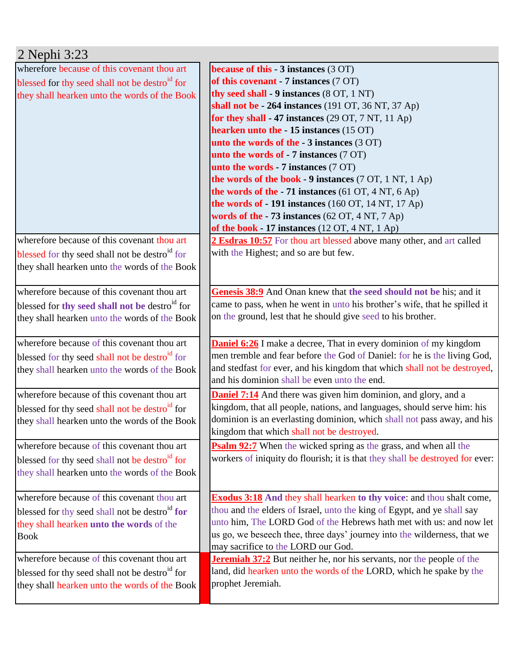| 2 Nephi 3:23                                               |                                                                                                                                                    |
|------------------------------------------------------------|----------------------------------------------------------------------------------------------------------------------------------------------------|
| wherefore because of this covenant thou art                | <b>because of this - 3 instances (3 OT)</b>                                                                                                        |
| blessed for thy seed shall not be destro <sup>id</sup> for | of this covenant - 7 instances (7 OT)                                                                                                              |
| they shall hearken unto the words of the Book              | thy seed shall - 9 instances (8 OT, 1 NT)                                                                                                          |
|                                                            | shall not be - 264 instances (191 OT, 36 NT, 37 Ap)                                                                                                |
|                                                            | for they shall - 47 instances $(29 \text{ OT}, 7 \text{ NT}, 11 \text{ Ap})$                                                                       |
|                                                            | hearken unto the - 15 instances (15 OT)                                                                                                            |
|                                                            | unto the words of the - 3 instances (3 OT)                                                                                                         |
|                                                            | unto the words of - 7 instances (7 OT)                                                                                                             |
|                                                            | unto the words - 7 instances (7 OT)                                                                                                                |
|                                                            | the words of the book - 9 instances (7 OT, 1 NT, 1 Ap)                                                                                             |
|                                                            | the words of the $-71$ instances (61 OT, 4 NT, 6 Ap)                                                                                               |
|                                                            | the words of $-191$ instances (160 OT, 14 NT, 17 Ap)                                                                                               |
|                                                            | words of the - 73 instances (62 OT, 4 NT, 7 Ap)                                                                                                    |
|                                                            | of the book $-17$ instances (12 OT, 4 NT, 1 Ap)                                                                                                    |
| wherefore because of this covenant thou art                | 2 Esdras 10:57 For thou art blessed above many other, and art called                                                                               |
| blessed for thy seed shall not be destro <sup>id</sup> for | with the Highest; and so are but few.                                                                                                              |
| they shall hearken unto the words of the Book              |                                                                                                                                                    |
|                                                            |                                                                                                                                                    |
| wherefore because of this covenant thou art                | Genesis 38:9 And Onan knew that the seed should not be his; and it                                                                                 |
| blessed for thy seed shall not be destro <sup>id</sup> for | came to pass, when he went in unto his brother's wife, that he spilled it                                                                          |
| they shall hearken unto the words of the Book              | on the ground, lest that he should give seed to his brother.                                                                                       |
|                                                            |                                                                                                                                                    |
| wherefore because of this covenant thou art                | <b>Daniel 6:26</b> I make a decree, That in every dominion of my kingdom                                                                           |
| blessed for thy seed shall not be destro <sup>1d</sup> for | men tremble and fear before the God of Daniel: for he is the living God,                                                                           |
| they shall hearken unto the words of the Book              | and stedfast for ever, and his kingdom that which shall not be destroyed,<br>and his dominion shall be even unto the end.                          |
|                                                            |                                                                                                                                                    |
| wherefore because of this covenant thou art                | <b>Daniel 7:14</b> And there was given him dominion, and glory, and a                                                                              |
| blessed for thy seed shall not be destro <sup>1d</sup> for | kingdom, that all people, nations, and languages, should serve him: his<br>dominion is an everlasting dominion, which shall not pass away, and his |
| they shall hearken unto the words of the Book              | kingdom that which shall not be destroyed.                                                                                                         |
|                                                            |                                                                                                                                                    |
| wherefore because of this covenant thou art                | <b>Psalm 92:7</b> When the wicked spring as the grass, and when all the                                                                            |
| blessed for thy seed shall not be destro <sup>id</sup> for | workers of iniquity do flourish; it is that they shall be destroyed for ever:                                                                      |
| they shall hearken unto the words of the Book              |                                                                                                                                                    |
| wherefore because of this covenant thou art                |                                                                                                                                                    |
|                                                            | <b>Exodus 3:18</b> And they shall hearken to thy voice: and thou shalt come,                                                                       |
| blessed for thy seed shall not be destro <sup>id</sup> for | thou and the elders of Israel, unto the king of Egypt, and ye shall say<br>unto him, The LORD God of the Hebrews hath met with us: and now let     |
| they shall hearken unto the words of the                   | us go, we beseech thee, three days' journey into the wilderness, that we                                                                           |
| <b>Book</b>                                                | may sacrifice to the LORD our God.                                                                                                                 |
| wherefore because of this covenant thou art                | <b>Jeremiah 37:2</b> But neither he, nor his servants, nor the people of the                                                                       |
| blessed for thy seed shall not be destro <sup>id</sup> for | land, did hearken unto the words of the LORD, which he spake by the                                                                                |
| they shall hearken unto the words of the Book              | prophet Jeremiah.                                                                                                                                  |
|                                                            |                                                                                                                                                    |